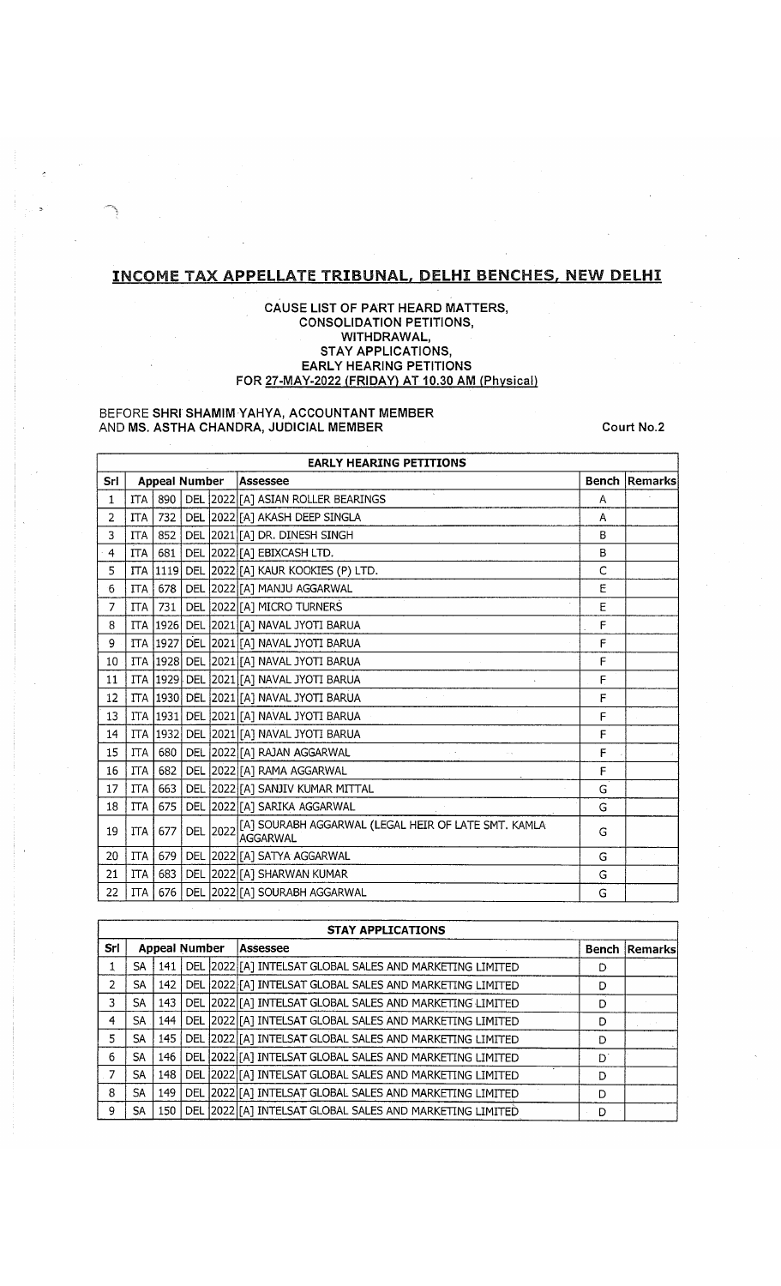# **INCOME TAX APPELLATE TRIBUNAL, DELHI BENCHES, NEW DELHI**

## **CAUSE LIST OF PART HEARD MATTERS, CONSOLIDATION PETITIONS, WITHDRAWAL, STAY APPLICATIONS, EARLY HEARING PETITIONS FOR 27-MAY-2022 (FRIDAY) AT 10.30 AM (Physical]**

#### BEFORE **SHRI SHAMIM YAHYA, ACCOUNTANT MEMBER** AND **MS. ASTHA CHANDRA, JUDICIAL MEMBER Court No.2**

|              | <b>EARLY HEARING PETITIONS</b> |                      |  |  |                                                                           |              |         |  |  |  |  |
|--------------|--------------------------------|----------------------|--|--|---------------------------------------------------------------------------|--------------|---------|--|--|--|--|
| Srl          |                                | <b>Appeal Number</b> |  |  | <b>Assessee</b>                                                           | <b>Bench</b> | Remarks |  |  |  |  |
| $\mathbf{1}$ | <b>ITA</b>                     | 890                  |  |  | DEL 2022 [A] ASIAN ROLLER BEARINGS                                        | Α            |         |  |  |  |  |
| 2            | <b>ITA</b>                     | 732                  |  |  | DEL 2022 [A] AKASH DEEP SINGLA                                            | A            |         |  |  |  |  |
| 3            | <b>ITA</b>                     | 852                  |  |  | DEL 2021 [A] DR. DINESH SINGH                                             | B            |         |  |  |  |  |
| 4            | <b>ITA</b>                     | 681                  |  |  | DEL 2022 [A] EBIXCASH LTD.                                                | B            |         |  |  |  |  |
| 5            |                                | ITA   1119           |  |  | DEL 2022 [A] KAUR KOOKIES (P) LTD.                                        | $\mathsf{C}$ |         |  |  |  |  |
| 6            | <b>ITA</b>                     | 678                  |  |  | DEL 2022 [A] MANJU AGGARWAL                                               | E            |         |  |  |  |  |
| 7            | $\Gamma$ TA                    | 731                  |  |  | DEL 2022 [A] MICRO TURNERS                                                | Ε            |         |  |  |  |  |
| 8            | <b>ITA</b>                     |                      |  |  | 1926 DEL 2021 [A] NAVAL JYOTI BARUA                                       | F            |         |  |  |  |  |
| 9            | <b>ITA</b>                     | 1927                 |  |  | DEL 2021 [A] NAVAL JYOTI BARUA                                            | F            |         |  |  |  |  |
| 10           |                                |                      |  |  | ITA 1928 DEL 2021 [A] NAVAL JYOTI BARUA                                   | F            |         |  |  |  |  |
| 11           |                                |                      |  |  | ITA 1929 DEL 2021 [A] NAVAL JYOTI BARUA                                   | F            |         |  |  |  |  |
| 12           | <b>ITA</b>                     |                      |  |  | 1930  DEL  2021 [A] NAVAL JYOTI BARUA                                     | F            |         |  |  |  |  |
| 13           |                                |                      |  |  | ITA  1931   DEL  2021  [A] NAVAL JYOTI BARUA                              | F            |         |  |  |  |  |
| 14           | ITA.                           | 1932                 |  |  | DEL 2021 [A] NAVAL JYOTI BARUA                                            | F            |         |  |  |  |  |
| 15           | <b>ITA</b>                     | 680                  |  |  | DEL 2022 [A] RAJAN AGGARWAL                                               | F            |         |  |  |  |  |
| 16           | <b>ITA</b>                     | 682                  |  |  | DEL 2022 [A] RAMA AGGARWAL                                                | F            |         |  |  |  |  |
| 17           | <b>ITA</b>                     | 663                  |  |  | DEL 2022 [A] SANJIV KUMAR MITTAL                                          | G            |         |  |  |  |  |
| 18           | <b>ITA</b>                     | 675                  |  |  | DEL 2022 [A] SARIKA AGGARWAL                                              | G            |         |  |  |  |  |
| 19           | <b>ITA</b>                     | 677                  |  |  | DEL 2022 [A] SOURABH AGGARWAL (LEGAL HEIR OF LATE SMT. KAMLA<br>laggarwal | G            |         |  |  |  |  |
| 20           | <b>ITA</b>                     | 679                  |  |  | DEL 2022 [A] SATYA AGGARWAL                                               | G            |         |  |  |  |  |
| 21           | <b>ITA</b>                     | 683                  |  |  | DEL 2022 [A] SHARWAN KUMAR                                                | G            |         |  |  |  |  |
| 22           | <b>ITA</b>                     | 676                  |  |  | DEL 2022 [A] SOURABH AGGARWAL                                             | G            |         |  |  |  |  |

|     | <b>STAY APPLICATIONS</b> |       |            |  |                                                                                          |   |                      |  |  |  |
|-----|--------------------------|-------|------------|--|------------------------------------------------------------------------------------------|---|----------------------|--|--|--|
| Srl | <b>Appeal Number</b>     |       |            |  | Assessee                                                                                 |   | <b>Bench Remarks</b> |  |  |  |
|     | SA                       |       |            |  | $\mid$ 141 $\mid$ DEL $\mid$ 2022 $\mid$ [A] INTELSAT GLOBAL SALES AND MARKETING LIMITED | Ð |                      |  |  |  |
| 2   | SA                       |       |            |  | 142   DEL 2022 [A] INTELSAT GLOBAL SALES AND MARKETING LIMITED                           | D |                      |  |  |  |
| 3   | SA.                      | 143   |            |  | DEL 2022 [A] INTELSAT GLOBAL SALES AND MARKETING LIMITED                                 |   |                      |  |  |  |
| 4   | SA                       | 144 l |            |  | DEL 2022 [[A] INTELSAT GLOBAL SALES AND MARKETING LIMITED                                | D |                      |  |  |  |
| 5   | SA                       |       |            |  | 145   DEL 2022 [[A] INTELSAT GLOBAL SALES AND MARKETING LIMITED                          | D |                      |  |  |  |
| 6.  | SA                       | 146 l |            |  | DEL 2022 [A] INTELSAT GLOBAL SALES AND MARKETING LIMITED                                 | D |                      |  |  |  |
| 7   | SA                       | 148   |            |  | DEL 2022 [A] INTELSAT GLOBAL SALES AND MARKETING LIMITED                                 |   |                      |  |  |  |
| 8   | SA                       | 149   | <b>DEL</b> |  | 2022 [A] INTELSAT GLOBAL SALES AND MARKETING LIMITED                                     | D |                      |  |  |  |
| 9   | SA                       | 150   |            |  | DEL 2022 [A] INTELSAT GLOBAL SALES AND MARKETING LIMITED                                 | D |                      |  |  |  |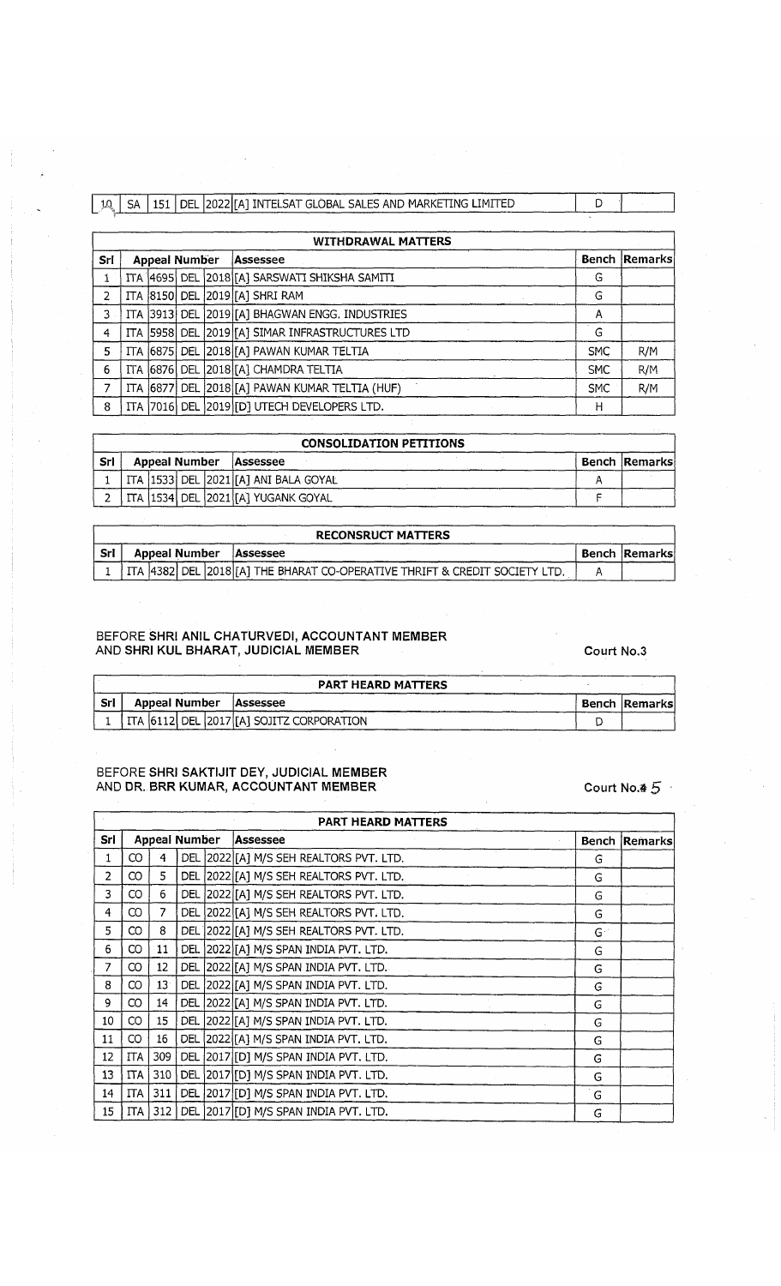|  |  |  | 10   SA   151   DEL   2022   IAI INTELSAT GLOBAL SALES AND MARKETING LIMITED |  |
|--|--|--|------------------------------------------------------------------------------|--|
|  |  |  |                                                                              |  |
|  |  |  |                                                                              |  |

|     | <b>WITHDRAWAL MATTERS</b> |                      |  |  |                                                 |            |                      |  |  |  |  |  |  |
|-----|---------------------------|----------------------|--|--|-------------------------------------------------|------------|----------------------|--|--|--|--|--|--|
| Srl |                           | <b>Appeal Number</b> |  |  | Assessee                                        |            | <b>Bench Remarks</b> |  |  |  |  |  |  |
|     |                           |                      |  |  | ITA 4695 DEL 2018 [A] SARSWATI SHIKSHA SAMITI   | G          |                      |  |  |  |  |  |  |
| 2   |                           |                      |  |  | ITA 8150 DEL 2019 [A] SHRI RAM                  | G          |                      |  |  |  |  |  |  |
| 3.  |                           |                      |  |  | ITA 3913 DEL 2019 [A] BHAGWAN ENGG. INDUSTRIES  | А          |                      |  |  |  |  |  |  |
| 4   |                           |                      |  |  | ITA 5958 DEL 2019 [A] SIMAR INFRASTRUCTURES LTD | G          |                      |  |  |  |  |  |  |
| 5   |                           |                      |  |  | ITA 6875 DEL 2018 [A] PAWAN KUMAR TELTIA        | <b>SMC</b> | R/M                  |  |  |  |  |  |  |
| 6   |                           |                      |  |  | ITA 6876 DEL 2018 [A] CHAMDRA TELTIA            | <b>SMC</b> | R/M                  |  |  |  |  |  |  |
| 7   |                           |                      |  |  | ITA 6877 DEL 2018 [A] PAWAN KUMAR TELTIA (HUF)  | <b>SMC</b> | R/M                  |  |  |  |  |  |  |
| 8   |                           |                      |  |  | ITA 7016 DEL 2019 [D] UTECH DEVELOPERS LTD.     | н          |                      |  |  |  |  |  |  |

|            | <b>CONSOLIDATION PETITIONS</b> |                      |  |  |                                         |  |                      |  |  |  |  |  |
|------------|--------------------------------|----------------------|--|--|-----------------------------------------|--|----------------------|--|--|--|--|--|
| <b>Srl</b> |                                | <b>Appeal Number</b> |  |  | Assessee                                |  | <b>Bench Remarks</b> |  |  |  |  |  |
|            |                                |                      |  |  | ITA  1533  DEL  2021 [A] ANI BALA GOYAL |  |                      |  |  |  |  |  |
|            |                                |                      |  |  | ! ITA  1534  DEL  2021 [A] YUGANK GOYAL |  |                      |  |  |  |  |  |

|      |                        | <b>RECONSRUCT MATTERS</b>                                                         |  |  |
|------|------------------------|-----------------------------------------------------------------------------------|--|--|
| -Srl | Appeal Number Assessee |                                                                                   |  |  |
|      |                        | 1   ITA  4382  DEL  2018 [A] THE BHARAT CO-OPERATIVE THRIFT & CREDIT SOCIETY LTD. |  |  |

# **BEFORE SHRI ANIL CHATURVEDI, ACCOUNTANT MEMBER** AND SHRI KUL BHARAT, JUDICIAL MEMBER **COULD AND SHRI KUL BHARAT**, JUDICIAL MEMBER

|       |                          | <b>PART HEARD MATTERS</b>                    |               |
|-------|--------------------------|----------------------------------------------|---------------|
| - Srl | Appeal Number   Assessee |                                              | Bench Remarks |
|       |                          | 1 I ITA 6112 DEL 2017 [A] SOJITZ CORPORATION |               |

# **BEFORE SHRI SAKTIJIT DEY, JUDICIAL MEMBER** AND DR. BRR KUMAR, ACCOUNTANT MEMBER Court No. 4 5

**PART HEARD MATTERS Sri | Appeal Number | Assessee <b>Bench Remarks** | Bench Remarks 1 | CO | 4 | DEL 2022 [A] M/S SEH REALTORS PVT. LTD.  $2 | CO | 5 | DEL | 2022 | [A] M/S SEM REALTORS PVT. LTD.$ 3 CO 6 DEL 2022 [A] M/S SEH REALTORS PVT. LTD. 4 CO 7 DEL 2022 [A] M/S SEH REALTORS PVT. LTD. G  $5 \mid CO \mid 8 \mid DEL \mid 2022 \mid [A] \mid M/S$  SEH REALTORS PVT. LTD. 6 CO 11 DEL 2022 [A] M/S SPAN INDIA PVT. LTD. 7 CO 12 DEL 2022 [A] M/S SPAN INDIA PVT. LTD. G 8 | CO | 13 | DEL | 2022 | [A] M/S SPAN INDIA PVT. LTD.  $9 | CO | 14 | DEL | 2022 | [A] M/S SPAN INDIA PVT. LTD.$  G 10 CO 15 DEL 2022 [A] M/S SPAN INDIA PVT. LTD. G 11 CO 16 DEL 2022 [A] M/S SPAN INDIA PVT. LTD. G 12 ITA 309 DEL 2017 [D] M/S SPAN INDIA PVT. LTD. G 13 ITA 310 DEL 2017 [D] M/S SPAN INDIA PVT. LTD. G 14 ITA 311 DEL 2017 [D] M/S SPAN INDIA PVT. LTD. G 15 ITA 312 DEL 2017 [D] M/S SPAN INDIA PVT. LTD. G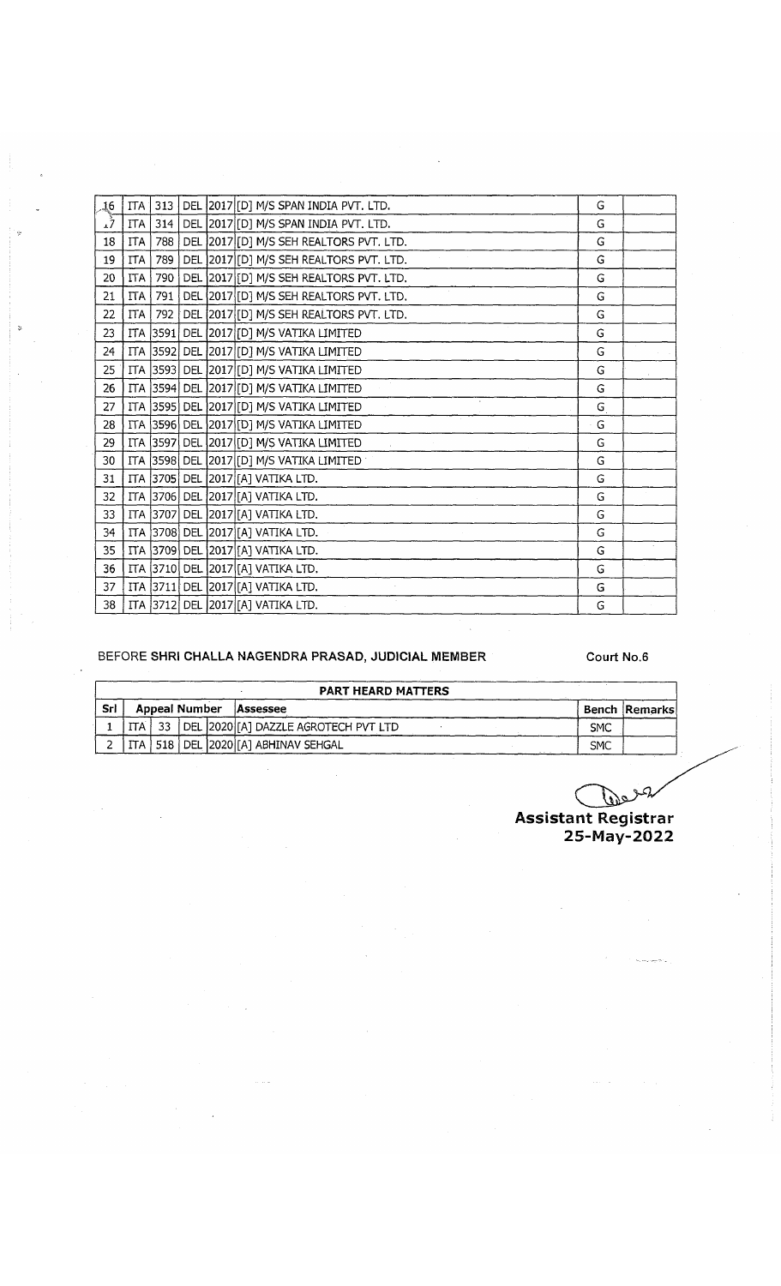| 16   |            |     |  | ITA 313   DEL 2017 [D] M/S SPAN INDIA PVT. LTD. | G           |  |
|------|------------|-----|--|-------------------------------------------------|-------------|--|
| رِ*ِ | ITA        | 314 |  | DEL 2017 [D] M/S SPAN INDIA PVT. LTD.           | G           |  |
| 18   | <b>ITA</b> | 788 |  | DEL 2017 [D] M/S SEH REALTORS PVT. LTD.         | G           |  |
| 19   | <b>ITA</b> | 789 |  | DEL 2017 [D] M/S SEH REALTORS PVT. LTD.         | G           |  |
| 20   | <b>ITA</b> | 790 |  | DEL 2017 [D] M/S SEH REALTORS PVT. LTD.         | G           |  |
| 21   | ITA        |     |  | 791   DEL 2017 [D] M/S SEH REALTORS PVT. LTD.   | G           |  |
| 22   | ITA        | 792 |  | DEL 2017 [D] M/S SEH REALTORS PVT. LTD.         | G           |  |
| 23   |            |     |  | ITA 3591 DEL 2017 [D] M/S VATIKA LIMITED        | G           |  |
| 24   |            |     |  | ITA 3592 DEL 2017 [D] M/S VATIKA LIMITED        | G           |  |
| 25   |            |     |  | ITA 3593 DEL 2017 [D] M/S VATIKA LIMITED        | G           |  |
| 26   |            |     |  | ITA 3594 DEL 2017 [D] M/S VATIKA LIMITED        | G           |  |
| 27   |            |     |  | ITA 3595 DEL 2017 [D] M/S VATIKA LIMITED        | G           |  |
| 28   |            |     |  | ITA 3596 DEL 2017 [D] M/S VATIKA LIMITED        | $\cdot$ G   |  |
| 29   |            |     |  | ITA 3597 DEL 2017 [D] M/S VATIKA LIMITED        | G           |  |
| 30   |            |     |  | ITA 3598 DEL 2017 [D] M/S VATIKA LIMITED        | G           |  |
| 31   |            |     |  | ITA 3705 DEL 2017 [A] VATIKA LTD.               | G           |  |
| 32   |            |     |  | ITA 3706 DEL 2017 [A] VATIKA LTD.               | G           |  |
| 33   |            |     |  | ITA 3707 DEL 2017 [A] VATIKA LTD.               | G           |  |
| 34   |            |     |  | ITA 3708 DEL 2017 [A] VATIKA LTD.               | G           |  |
| 35   |            |     |  | ITA 3709 DEL 2017 [A] VATIKA LTD.               | $\mathsf G$ |  |
| 36   |            |     |  | ITA 3710 DEL 2017 [A] VATIKA LTD.               | G           |  |
| 37   |            |     |  | ITA 3711 DEL 2017 [[A] VATIKA LTD.              | G           |  |
| 38   |            |     |  | ITA 3712 DEL 2017 [[A] VATIKA LTD.              | G           |  |

# BEFORE SHRI CHALLA NAGENDRA PRASAD, JUDICIAL MEMBER Court No.6

|     | <b>PART HEARD MATTERS</b> |                      |  |  |                                                 |            |                      |  |  |  |  |  |  |
|-----|---------------------------|----------------------|--|--|-------------------------------------------------|------------|----------------------|--|--|--|--|--|--|
| Srl |                           | <b>Appeal Number</b> |  |  | Assessee                                        |            | <b>Bench Remarks</b> |  |  |  |  |  |  |
|     |                           |                      |  |  | ITA   33   DEL 2020 [A] DAZZLE AGROTECH PVT LTD | <b>SMC</b> |                      |  |  |  |  |  |  |
|     |                           |                      |  |  | ITA   518   DEL  2020 [A] ABHINAV SEHGAL        | <b>SMC</b> |                      |  |  |  |  |  |  |

علقاً **Assistant Registrar 25-May-2022**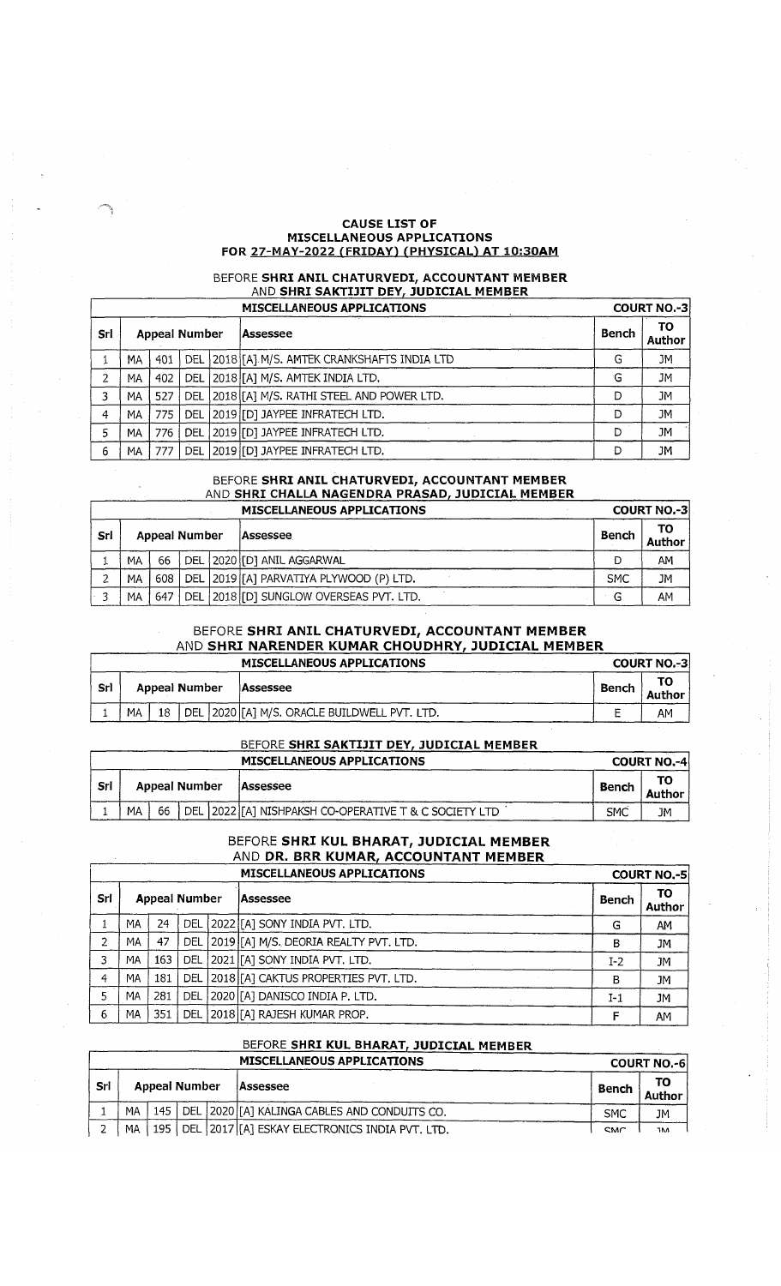#### **CAUSE LIST OF MISCELLANEOUS APPLICATIONS** FOR 27-MAY-2022 (FRIDAY) (PHYSICAL) AT 10:30AM

# BEFORE **SHRI ANIL CHATURVEDI, ACCOUNTANT MEMBER** AND **SHRI SAKTIJIT DEY, JUDICIAL MEMBER**

|     |                      |     |     | <b>MISCELLANEOUS APPLICATIONS</b>                 |              | <b>COURT NO.-31</b> |  |  |
|-----|----------------------|-----|-----|---------------------------------------------------|--------------|---------------------|--|--|
| Srl | <b>Appeal Number</b> |     |     | lAssessee                                         | <b>Bench</b> | ΤО<br>Author        |  |  |
|     | MА                   | 401 |     | DEL   2018   [A] M/S. AMTEK CRANKSHAFTS INDIA LTD | G            | <b>JM</b>           |  |  |
| 2   | MA                   | 402 | DEL | [2018][A] M/S. AMTEK INDIA LTD.                   | G            | JМ                  |  |  |
| 3   | MA                   | 527 | DEL | 2018 [A] M/S. RATHI STEEL AND POWER LTD.          | D            | JМ                  |  |  |
| 4   | MA                   | 775 | DEL | [2019][D] JAYPEE INFRATECH LTD.                   | Ð            | JM                  |  |  |
| 5   | МA                   | 776 | DEL | 2019 [D] JAYPEE INFRATECH LTD.                    | D            | JM                  |  |  |
| 6   | MА                   |     | DEL | 2019 [D] JAYPEE INFRATECH LTD.                    | D            | JМ                  |  |  |

### BEFORE **SHRI ANIL CHATURVEDI, ACCOUNTANT MEMBER** AND **SHRI CHALLA NAGENDRA PRASAD, JUDICIAL MEMBER**

|     |    |                      |  | <b>MISCELLANEOUS APPLICATIONS</b>          |            | <b>COURT NO.-31</b> |
|-----|----|----------------------|--|--------------------------------------------|------------|---------------------|
| Srl |    | <b>Appeal Number</b> |  | Assessee                                   | Bench      |                     |
|     | MA | 66                   |  | DEL   2020   [D] ANIL AGGARWAL             |            | ΑМ                  |
|     | MА | 608                  |  | DEL   2019 [[A] PARVATIYA PLYWOOD (P) LTD. | <b>SMC</b> | JМ                  |
|     | MA | 647                  |  | DEL 2018 [D] SUNGLOW OVERSEAS PVT. LTD.    | G          | AM                  |

# BEFORE **SHRI ANIL CHATURVEDI, ACCOUNTANT MEMBER** AND **SHRI NARENDER KUMAR CHOUDHRY, JUDICIAL MEMBER**

|     |    |               | <b>MISCELLANEOUS APPLICATIONS</b>             |       | <b>COURT NO.-3</b> |
|-----|----|---------------|-----------------------------------------------|-------|--------------------|
| Srl |    | Appeal Number | <b>Assessee</b>                               | Bench | Author             |
|     | MA |               | DEL 2020 [[A] M/S. ORACLE BUILDWELL PVT. LTD. |       | AM                 |

## BEFORE **SHRI SAKTIJIT DEY, JUDICIAL MEMBER**

|     |               |    |                 | <b>MISCELLANEOUS APPLICATIONS</b>                        |                     | <b>COURT NO.-4</b> |
|-----|---------------|----|-----------------|----------------------------------------------------------|---------------------|--------------------|
| Srl | Appeal Number |    | <b>Assessee</b> | <b>Bench</b>                                             | ТΟ<br><b>Author</b> |                    |
|     | MA            | 66 |                 | DEL   2022 [[A] NISHPAKSH CO-OPERATIVE T & C SOCIETY LTD | SMĈ                 | JM                 |

### BEFORE **SHRI KUL BHARAT, JUDICIAL MEMBER** AND **DR. BRR KUMAR, ACCOUNTANT MEMBER** <sup>1</sup> **MISCELLANEOUS APPLICATIONS COURT NO.-5**

|     |                      |     |            | MISCLEENING OS AFFEICATIONS               |       | CUURI NU.-31 |
|-----|----------------------|-----|------------|-------------------------------------------|-------|--------------|
| Srl | <b>Appeal Number</b> |     |            | lAssessee                                 | Bench | TO<br>Author |
|     | МA                   | 24  |            | DEL 2022 [[A] SONY INDIA PVT. LTD.        | G     | AM           |
| C.  | ΜA                   | 47  |            | DEL 2019 [A] M/S. DEORIA REALTY PVT. LTD. | B     | JM           |
| 3   | MA                   | 163 | <b>DEL</b> | . 2021 [[A] SONY INDIA PVT. LTD.          | $I-2$ | <b>JM</b>    |
| 4   | МA                   | 181 |            | DEL 2018 [A] CAKTUS PROPERTIES PVT. LTD.  | B     | <b>JM</b>    |
|     | MA                   | 281 | DEL        | 2020 [A] DANISCO INDIA P. LTD.            | I-1   | JМ           |
| 6   | MA                   | 351 | DEL        | 2018 [A] RAJESH KUMAR PROP.               |       | AМ           |

# BEFORE **SHRI KUL BHARAT, JUDICIAL MEMBER**

|     |    |                                                     |  |                                                       | <b>COURT NO.-6</b> |              |  |
|-----|----|-----------------------------------------------------|--|-------------------------------------------------------|--------------------|--------------|--|
| Sri |    | Appeal Number                                       |  | Assessee                                              | Bench              | ΤО<br>Author |  |
|     | MA | 145   DEL 2020 [[A] KALINGA CABLES AND CONDUITS CO. |  | <b>SMC</b>                                            | JΜ                 |              |  |
|     | MA |                                                     |  | 195   DEL 2017 [[A] ESKAY ELECTRONICS INDIA PVT, LTD. | <b>SMC</b>         | <b>TM</b>    |  |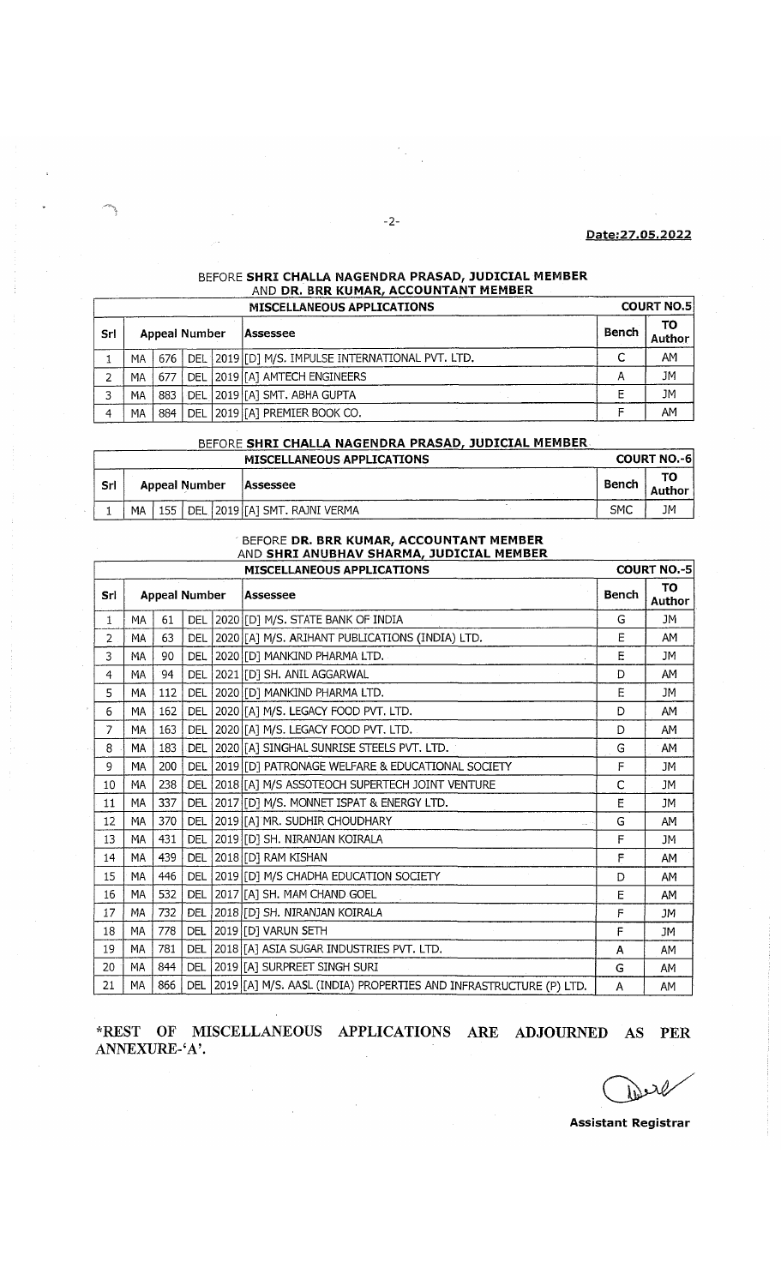## **Date:27.05.2022**

## BEFORE **SHRI CHALLA NAGENDRA PRASAD, JUDICIAL MEMBER** \_\_\_\_\_\_\_\_\_AND **DR. BRR KUMAR, ACCOUNTANT MEMBER\_\_\_\_\_\_\_\_**

|     |                      |       |  | <b>MISCELLANEOUS APPLICATIONS</b>                 |              | <b>COURT NO.5</b> |
|-----|----------------------|-------|--|---------------------------------------------------|--------------|-------------------|
| Srl | <b>Appeal Number</b> |       |  | lAssessee                                         | <b>Bench</b> | TO.<br>Author     |
|     | MA.                  | 676 I |  | DEL 2019 [D] M/S. IMPULSE INTERNATIONAL PVT. LTD. | ◠<br>◡       | AM                |
|     | МA                   | 677   |  | DEL 2019 [[A] AMTECH ENGINEERS                    | А            | JM                |
|     | MА                   |       |  | 883   DEL   2019   [A] SMT. ABHA GUPTA            |              | JM                |
|     | MA                   | 884   |  | DEL   2019   [A] PREMIER BOOK CO.                 |              | AM                |

# BEFORE **SHRI CHALLA NAGENDRA PRASAD, JUDICIAL MEMBER**

|     | <b>MISCELLANEOUS APPLICATIONS</b> |               |  |          |                                  |              |    |  |  |  |
|-----|-----------------------------------|---------------|--|----------|----------------------------------|--------------|----|--|--|--|
| Srl | <b>Appeal Number</b>              |               |  | Assessee |                                  | TO<br>Author |    |  |  |  |
|     | MA                                | $155^{\circ}$ |  |          | DEL   2019 [[A] SMT. RAJNI VERMA | SMC          | JM |  |  |  |

#### BEFORE **DR. BRR KUMAR, ACCOUNTANT MEMBER** AND **SHRI ANUBHAV SHARMA, JUDICIAL MEMBER**

|                   | <b>MISCELLANEOUS APPLICATIONS</b> |     |            |  |                                                                    |   |                     |  |  |
|-------------------|-----------------------------------|-----|------------|--|--------------------------------------------------------------------|---|---------------------|--|--|
| Srl               | <b>Appeal Number</b>              |     |            |  | Assessee                                                           |   | <b>TO</b><br>Author |  |  |
| 1                 | MA                                | 61  |            |  | DEL 2020 [D] M/S. STATE BANK OF INDIA                              | G | JM                  |  |  |
| 2                 | MA                                | 63  |            |  | DEL 2020 [A] M/S. ARIHANT PUBLICATIONS (INDIA) LTD.                | Ė | AM                  |  |  |
| 3                 | <b>MA</b>                         | 90  | <b>DEL</b> |  | 2020 [D] MANKIND PHARMA LTD.                                       | E | JM                  |  |  |
| 4                 | MA                                | 94  |            |  | DEL 2021 [D] SH. ANIL AGGARWAL                                     | D | AΜ                  |  |  |
| 5                 | MA                                | 112 | <b>DEL</b> |  | 2020 [D] MANKIND PHARMA LTD.                                       | E | JM                  |  |  |
| 6                 | MA                                | 162 | <b>DEL</b> |  | 2020 [A] M/S. LEGACY FOOD PVT. LTD.                                | D | AM                  |  |  |
| 7                 | MA                                | 163 | <b>DEL</b> |  | 2020 [A] M/S. LEGACY FOOD PVT. LTD.                                | D | AM                  |  |  |
| 8                 | MA                                | 183 |            |  | DEL 2020 [A] SINGHAL SUNRISE STEELS PVT. LTD.                      | G | AM                  |  |  |
| 9                 | <b>MA</b>                         | 200 |            |  | DEL 2019 [D] PATRONAGE WELFARE & EDUCATIONAL SOCIETY               | F | <b>JM</b>           |  |  |
| 10                | <b>MA</b>                         | 238 | DEL        |  | 2018 [[A] M/S ASSOTEOCH SUPERTECH JOINT VENTURE                    | C | <b>JM</b>           |  |  |
| 11                | MA                                | 337 |            |  | DEL 2017 [D] M/S. MONNET ISPAT & ENERGY LTD.                       | E | <b>JM</b>           |  |  |
| $12 \overline{ }$ | <b>MA</b>                         | 370 | <b>DEL</b> |  | 2019 [A] MR. SUDHIR CHOUDHARY                                      | G | AM                  |  |  |
| 13                | <b>MA</b>                         | 431 | DEL        |  | 2019 [D] SH. NIRANJAN KOIRALA                                      | F | <b>JM</b>           |  |  |
| 14                | <b>MA</b>                         | 439 | <b>DEL</b> |  | 2018 [D] RAM KISHAN                                                | F | AM                  |  |  |
| 15                | MA                                | 446 | <b>DEL</b> |  | 2019 [D] M/S CHADHA EDUCATION SOCIETY                              | D | AM                  |  |  |
| 16                | <b>MA</b>                         | 532 | DEL        |  | 2017 [A] SH. MAM CHAND GOEL                                        | E | AM                  |  |  |
| 17                | MA                                | 732 | DEL        |  | 2018 [D] SH. NIRANJAN KOIRALA                                      | F | JM.                 |  |  |
| 18                | MA                                | 778 | <b>DEL</b> |  | 2019 [D] VARUN SETH                                                | F | JM                  |  |  |
| 19                | MA                                | 781 | <b>DEL</b> |  | 2018 [TA] ASIA SUGAR INDUSTRIES PVT. LTD.                          | A | <b>AM</b>           |  |  |
| 20                | MA                                | 844 | <b>DEL</b> |  | 2019 [A] SURPREET SINGH SURI                                       | G | <b>AM</b>           |  |  |
| 21                | MA                                | 866 | <b>DEL</b> |  | 2019 [[A] M/S. AASL (INDIA) PROPERTIES AND INFRASTRUCTURE (P) LTD. | A | <b>AM</b>           |  |  |

**\*REST OF MISCELLANEOUS APPLICATIONS ARE ADJOURNED AS PER ANNEXURE-'A \**

 $\bar{\beta}$ 

λl حنفا

**Assistant Registrar**

 $-2-$ 

.<br>Se

 $\frac{d}{dt}$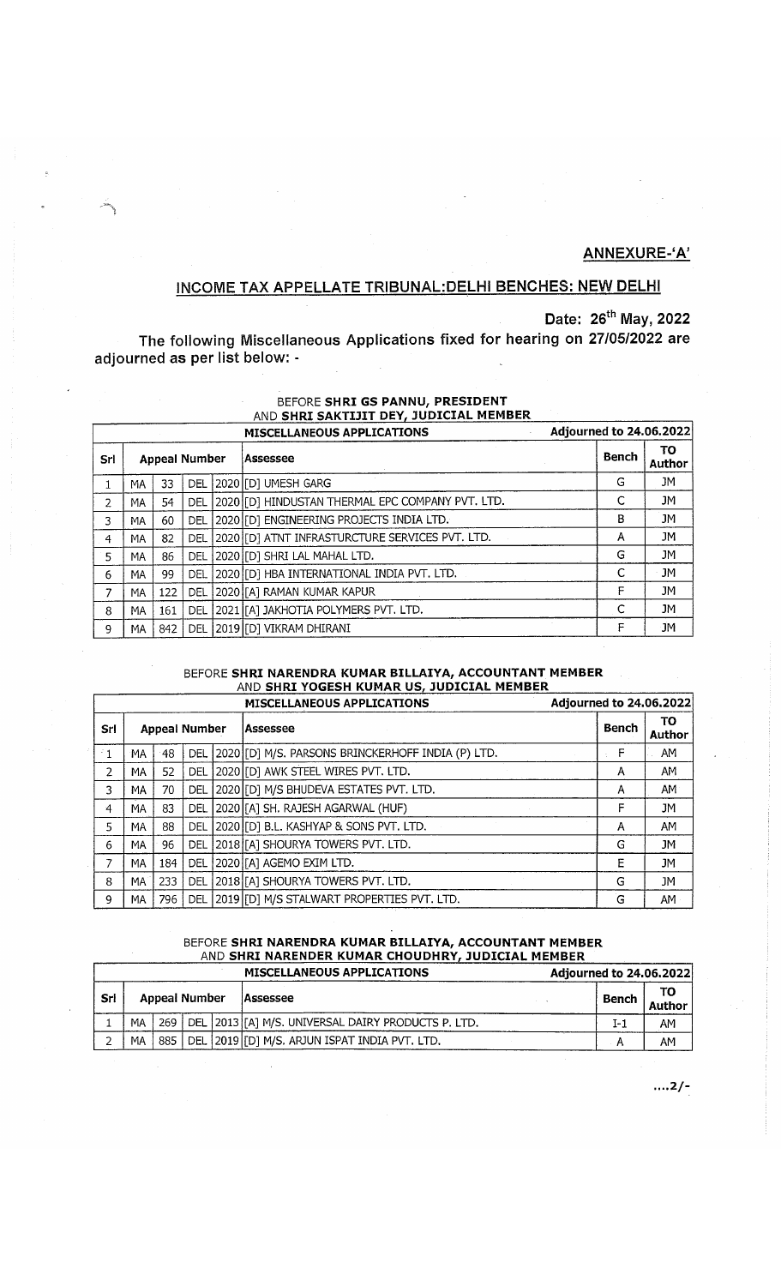# **ANNEXURE-'A'**

# **INCOME TAX APPELLATE TRIBUNAL:DELH1 BENCHES: NEW DELHI**

**Date: 26th May, 2022**

**The following Miscellaneous Applications fixed for hearing on 27/05/2022 are adjourned as per list below: -**

# BEFORE **SHRI GS PANNU, PRESIDENT** AND **SHRI SAKTIJIT DEY, JUDICIAL MEMBER**

|                | Adjourned to 24.06.2022<br><b>MISCELLANEOUS APPLICATIONS</b> |     |            |  |                                                  |              |              |  |  |  |  |
|----------------|--------------------------------------------------------------|-----|------------|--|--------------------------------------------------|--------------|--------------|--|--|--|--|
| Srl            | <b>Appeal Number</b>                                         |     |            |  | Assessee                                         | <b>Bench</b> | ΤO<br>Author |  |  |  |  |
|                | МA                                                           | 33  | <b>DEL</b> |  | 2020 [D] UMESH GARG                              | G            | JM           |  |  |  |  |
| $\overline{2}$ | ΜA                                                           | 54  | DEL        |  | 2020 [D] HINDUSTAN THERMAL EPC COMPANY PVT. LTD. |              | JM           |  |  |  |  |
| 3              | ΜA                                                           | 60  | DEL        |  | 2020 [D] ENGINEERING PROJECTS INDIA LTD.         | В            | JM           |  |  |  |  |
| 4              | MΑ                                                           | 82  | DEL        |  | 2020 [D] ATNT INFRASTURCTURE SERVICES PVT. LTD.  | А            | <b>JM</b>    |  |  |  |  |
| 5              | MA                                                           | 86  | DEL        |  | 2020 [D] SHRI LAL MAHAL LTD.                     | G            | JM           |  |  |  |  |
| 6              | MA                                                           | 99  | DEL        |  | 2020 [[D] HBA INTERNATIONAL INDIA PVT. LTD.      | C            | <b>JM</b>    |  |  |  |  |
| 7              | MA                                                           | 122 | DEL        |  | 2020 [[A] RAMAN KUMAR KAPUR                      | F            | JM           |  |  |  |  |
| 8              | MA                                                           | 161 | DEL        |  | 2021 [[A] JAKHOTIA POLYMERS PVT. LTD.            |              | JM           |  |  |  |  |
| 9              | MA                                                           | 842 | DEL        |  | 2019 [D] VIKRAM DHIRANI                          | F            | JМ           |  |  |  |  |

## BEFORE **SHRI NARENDRA KUMAR BILLAIYA, ACCOUNTANT MEMBER** \_\_\_\_\_\_\_\_\_AND **SHRI YOGESH KUMAR US, JUDICIAL MEMBER\_\_\_\_\_\_\_\_**

|                |     |     |                      | MISCELLANEOUS APPLICATIONS                         | Adjourned to 24.06.2022 |                            |
|----------------|-----|-----|----------------------|----------------------------------------------------|-------------------------|----------------------------|
| Srl            |     |     | <b>Appeal Number</b> | Assessee                                           | Bench                   | <b>TO</b><br><b>Author</b> |
| $\leq 1$       | МA  | 48  | <b>DEL</b>           | [2020][D] M/S. PARSONS BRINCKERHOFF INDIA (P) LTD. | F                       | AM                         |
| $\overline{2}$ | МA  | 52  | DEL                  | 2020 [D] AWK STEEL WIRES PVT. LTD.                 | A                       | AM                         |
| 3.             | МA  | 70  | <b>DEL</b>           | 2020 [D] M/S BHUDEVA ESTATES PVT. LTD.             | Α                       | AM                         |
| 4              | MA  | 83  | DEL                  | [2020][A] SH. RAJESH AGARWAL (HUF)                 | F                       | JM                         |
| 5.             | МA  | 88  | <b>DEL</b>           | [2020][D] B.L. KASHYAP & SONS PVT. LTD.            | А                       | AM                         |
| 6              | MA  | 96  |                      | DEL 2018 [A] SHOURYA TOWERS PVT. LTD.              | G                       | JM                         |
| 7              | MA  | 184 | <b>DEL</b>           | 2020 [A] AGEMO EXIM LTD.                           | E                       | JM                         |
| 8              | MA. | 233 | DEL                  | 2018 [A] SHOURYA TOWERS PVT. LTD.                  | G                       | JM                         |
| 9              | MA  | 796 |                      | DEL   2019 [D] M/S STALWART PROPERTIES PVT. LTD.   | G                       | AM                         |

# BEFORE **SHRI NARENDRA KUMAR BILLAIYA, ACCOUNTANT MEMBER** AND **SHRI NARENDER KUMAR CHOUDHRY, JUDICIAL MEMBER**

|     | Adjourned to 24.06.2022 |     |  |                                                           |  |       |                     |
|-----|-------------------------|-----|--|-----------------------------------------------------------|--|-------|---------------------|
| Srl | Appeal Number           |     |  | Assessee                                                  |  | Bench | то<br><b>Author</b> |
|     | <b>MA</b>               |     |  | 269   DEL 2013 [[A] M/S. UNIVERSAL DAIRY PRODUCTS P. LTD. |  | T-1   | AM                  |
|     | МA                      | 885 |  | DEL 2019 [D] M/S. ARJUN ISPAT INDIA PVT. LTD.             |  | А     | AМ                  |

 $...2/-$